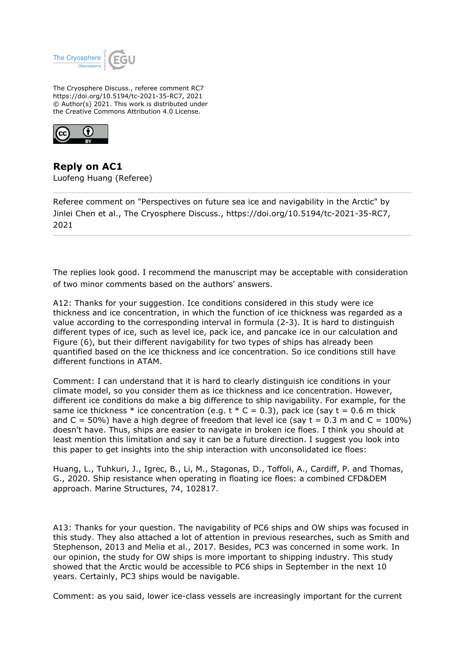

The Cryosphere Discuss., referee comment RC7 https://doi.org/10.5194/tc-2021-35-RC7, 2021 © Author(s) 2021. This work is distributed under the Creative Commons Attribution 4.0 License.



**Reply on AC1** Luofeng Huang (Referee)

Referee comment on "Perspectives on future sea ice and navigability in the Arctic" by Jinlei Chen et al., The Cryosphere Discuss., https://doi.org/10.5194/tc-2021-35-RC7, 2021

The replies look good. I recommend the manuscript may be acceptable with consideration of two minor comments based on the authors' answers.

A12: Thanks for your suggestion. Ice conditions considered in this study were ice thickness and ice concentration, in which the function of ice thickness was regarded as a value according to the corresponding interval in formula (2-3). It is hard to distinguish different types of ice, such as level ice, pack ice, and pancake ice in our calculation and Figure (6), but their different navigability for two types of ships has already been quantified based on the ice thickness and ice concentration. So ice conditions still have different functions in ATAM.

Comment: I can understand that it is hard to clearly distinguish ice conditions in your climate model, so you consider them as ice thickness and ice concentration. However, different ice conditions do make a big difference to ship navigability. For example, for the same ice thickness  $*$  ice concentration (e.g.  $t * C = 0.3$ ), pack ice (say  $t = 0.6$  m thick and  $C = 50\%$ ) have a high degree of freedom that level ice (say  $t = 0.3$  m and  $C = 100\%$ ) doesn't have. Thus, ships are easier to navigate in broken ice floes. I think you should at least mention this limitation and say it can be a future direction. I suggest you look into this paper to get insights into the ship interaction with unconsolidated ice floes:

Huang, L., Tuhkuri, J., Igrec, B., Li, M., Stagonas, D., Toffoli, A., Cardiff, P. and Thomas, G., 2020. Ship resistance when operating in floating ice floes: a combined CFD&DEM approach. Marine Structures, 74, 102817.

A13: Thanks for your question. The navigability of PC6 ships and OW ships was focused in this study. They also attached a lot of attention in previous researches, such as Smith and Stephenson, 2013 and Melia et al., 2017. Besides, PC3 was concerned in some work. In our opinion, the study for OW ships is more important to shipping industry. This study showed that the Arctic would be accessible to PC6 ships in September in the next 10 years. Certainly, PC3 ships would be navigable.

Comment: as you said, lower ice-class vessels are increasingly important for the current